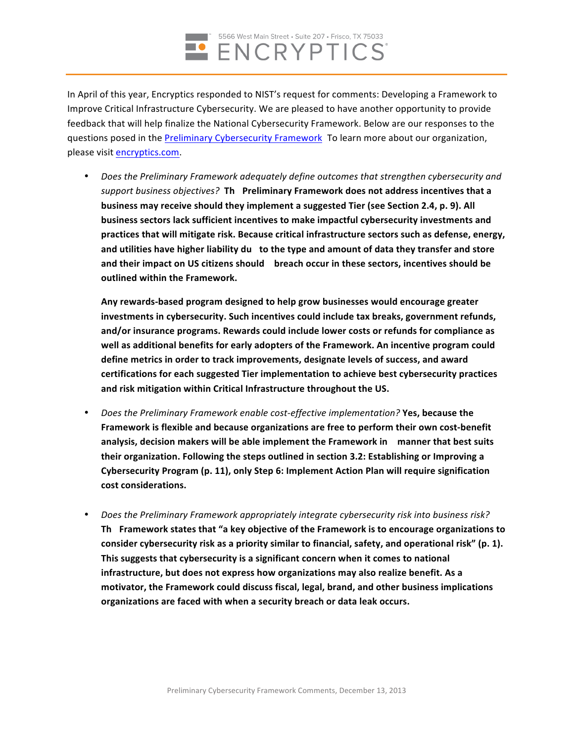

In April of this year, Encryptics responded to NIST's request for comments: Developing a Framework to Improve Critical Infrastructure Cybersecurity. We are pleased to have another opportunity to provide feedback that will help finalize the National Cybersecurity Framework. Below are our responses to the questions posed in the Preliminary Cybersecurity Framework To learn more about our organization, please visit encryptics.com.

• *Does the Preliminary Framework adequately define outcomes that strengthen cybersecurity and support business objectives?* **Th Preliminary Framework does not address incentives that a business may receive should they implement a suggested Tier (see Section 2.4, p. 9). All business sectors lack sufficient incentives to make impactful cybersecurity investments and practices that will mitigate risk. Because critical infrastructure sectors such as defense, energy, and** utilities have higher liability du to the type and amount of data they transfer and store **and their impact on US citizens should breach occur in these sectors, incentives should be outlined within the Framework.**

**Any rewards-based program designed to help grow businesses would encourage greater** investments in cybersecurity. Such incentives could include tax breaks, government refunds, **and/or insurance programs. Rewards could include lower costs or refunds for compliance as well as additional benefits for early adopters of the Framework. An incentive program could define metrics in order to track improvements, designate levels of success, and award certifications for each suggested Tier implementation to achieve best cybersecurity practices and risk mitigation within Critical Infrastructure throughout the US.**

- • *Does the Preliminary Framework enable cost-effective implementation?* **Yes, because the Framework is flexible and because organizations are free to perform their own cost-benefit analysis, decision makers will be able implement the Framework in manner that best suits their organization. Following the steps outlined in section 3.2: Establishing or Improving a Cybersecurity Program (p. 11), only Step 6: Implement Action Plan will require signification cost considerations.**
- • *Does the Preliminary Framework appropriately integrate cybersecurity risk into business risk?* **Th Framework states that "a key objective of the Framework is to encourage organizations to consider cybersecurity risk as a priority similar to financial, safety, and operational risk" (p. 1). This suggests that cybersecurity is a significant concern when it comes to national infrastructure, but does not express how organizations may also realize benefit. As a motivator, the Framework could discuss fiscal, legal, brand, and other business implications organizations are faced with when a security breach or data leak occurs.**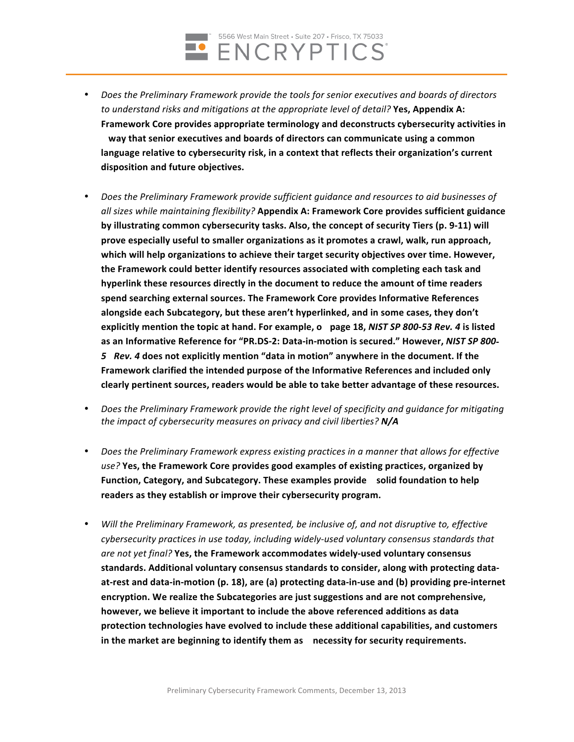

- • *Does the Preliminary Framework provide the tools for senior executives and boards of directors to understand risks and mitigations at the appropriate level of detail?* **Yes, Appendix A: Framework Core provides appropriate terminology and deconstructs cybersecurity activities in way that senior executives and boards of directors can communicate using a common language relative to cybersecurity risk, in a context that reflects their organization's current disposition and future objectives.**
- • *Does the Preliminary Framework provide sufficient guidance and resources to aid businesses of all sizes while maintaining flexibility?* **Appendix A: Framework Core provides sufficient guidance by illustrating common cybersecurity tasks. Also, the concept of security Tiers (p. 9-11) will prove especially useful to smaller organizations as it promotes a crawl, walk, run approach, which will help organizations to achieve their target security objectives over time. However, the Framework could better identify resources associated with completing each task and hyperlink these resources directly in the document to reduce the amount of time readers spend searching external sources. The Framework Core provides Informative References alongside each Subcategory, but these aren't hyperlinked, and in some cases, they don't explicitly mention the topic at hand. For example, o page 18,** *NIST SP 800-53 Rev. 4* **is listed as an Informative Reference for "PR.DS-2: Data-in-motion is secured." However,** *NIST SP 800- 5 Rev. 4* **does not explicitly mention "data in motion" anywhere in the document. If the Framework clarified the intended purpose of the Informative References and included only clearly pertinent sources, readers would be able to take better advantage of these resources.**
- • *Does the Preliminary Framework provide the right level of specificity and guidance for mitigating the impact of cybersecurity measures on privacy and civil liberties? N/A*
- • *Does the Preliminary Framework express existing practices in a manner that allows for effective use?* **Yes, the Framework Core provides good examples of existing practices, organized by Function, Category, and Subcategory. These examples provide solid foundation to help readers as they establish or improve their cybersecurity program.**
- • *Will the Preliminary Framework, as presented, be inclusive of, and not disruptive to, effective cybersecurity practices in use today, including widely-used voluntary consensus standards that are not yet final?* **Yes, the Framework accommodates widely-used voluntary consensus standards. Additional voluntary consensus standards to consider, along with protecting dataat-rest and data-in-motion (p. 18), are (a) protecting data-in-use and (b) providing pre-internet encryption. We realize the Subcategories are just suggestions and are not comprehensive, however, we believe it important to include the above referenced additions as data protection technologies have evolved to include these additional capabilities, and customers in the market are beginning to identify them as necessity for security requirements.**